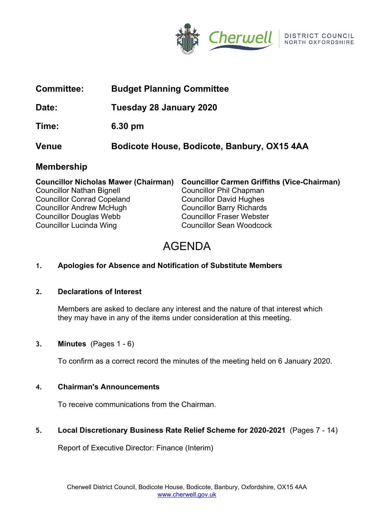

| <b>Committee:</b> | <b>Budget Planning Committee</b>                                            |
|-------------------|-----------------------------------------------------------------------------|
| Date:             | Tuesday 28 January 2020                                                     |
| Time:             | 6.30 pm                                                                     |
| <b>Venue</b>      | Bodicote House, Bodicote, Banbury, OX15 4AA                                 |
| <b>Membership</b> |                                                                             |
|                   | Councillor Nicholae Mawer (Chairman) Councillor Carmon Criffithe Wice-Chair |

|                                   | Councillor Nicholas Mawer (Chairman) Councillor Carmen Griffiths (Vice-Chairman) |
|-----------------------------------|----------------------------------------------------------------------------------|
| <b>Councillor Nathan Bignell</b>  | <b>Councillor Phil Chapman</b>                                                   |
| <b>Councillor Conrad Copeland</b> | <b>Councillor David Hughes</b>                                                   |
| <b>Councillor Andrew McHugh</b>   | <b>Councillor Barry Richards</b>                                                 |
| <b>Councillor Douglas Webb</b>    | <b>Councillor Fraser Webster</b>                                                 |
| <b>Councillor Lucinda Wing</b>    | <b>Councillor Sean Woodcock</b>                                                  |

# AGENDA

# **1. Apologies for Absence and Notification of Substitute Members**

### **2. Declarations of Interest**

Members are asked to declare any interest and the nature of that interest which they may have in any of the items under consideration at this meeting.

# **3. Minutes** (Pages 1 - 6)

To confirm as a correct record the minutes of the meeting held on 6 January 2020.

### **4. Chairman's Announcements**

To receive communications from the Chairman.

### **5. Local Discretionary Business Rate Relief Scheme for 2020-2021** (Pages 7 - 14)

Report of Executive Director: Finance (Interim)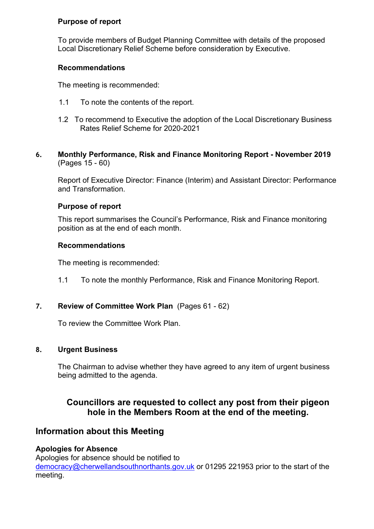### **Purpose of report**

To provide members of Budget Planning Committee with details of the proposed Local Discretionary Relief Scheme before consideration by Executive.

# **Recommendations**

The meeting is recommended:

- 1.1 To note the contents of the report.
- 1.2 To recommend to Executive the adoption of the Local Discretionary Business Rates Relief Scheme for 2020-2021
- **6. Monthly Performance, Risk and Finance Monitoring Report - November 2019**  (Pages 15 - 60)

Report of Executive Director: Finance (Interim) and Assistant Director: Performance and Transformation.

# **Purpose of report**

This report summarises the Council's Performance, Risk and Finance monitoring position as at the end of each month.

# **Recommendations**

The meeting is recommended:

1.1 To note the monthly Performance, Risk and Finance Monitoring Report.

# **7. Review of Committee Work Plan** (Pages 61 - 62)

To review the Committee Work Plan.

### **8. Urgent Business**

The Chairman to advise whether they have agreed to any item of urgent business being admitted to the agenda.

# **Councillors are requested to collect any post from their pigeon hole in the Members Room at the end of the meeting.**

# **Information about this Meeting**

# **Apologies for Absence**

Apologies for absence should be notified to [democracy@cherwellandsouthnorthants.gov.uk](mailto:democracy@cherwell-dc.gov.uk) or 01295 221953 prior to the start of the meeting.